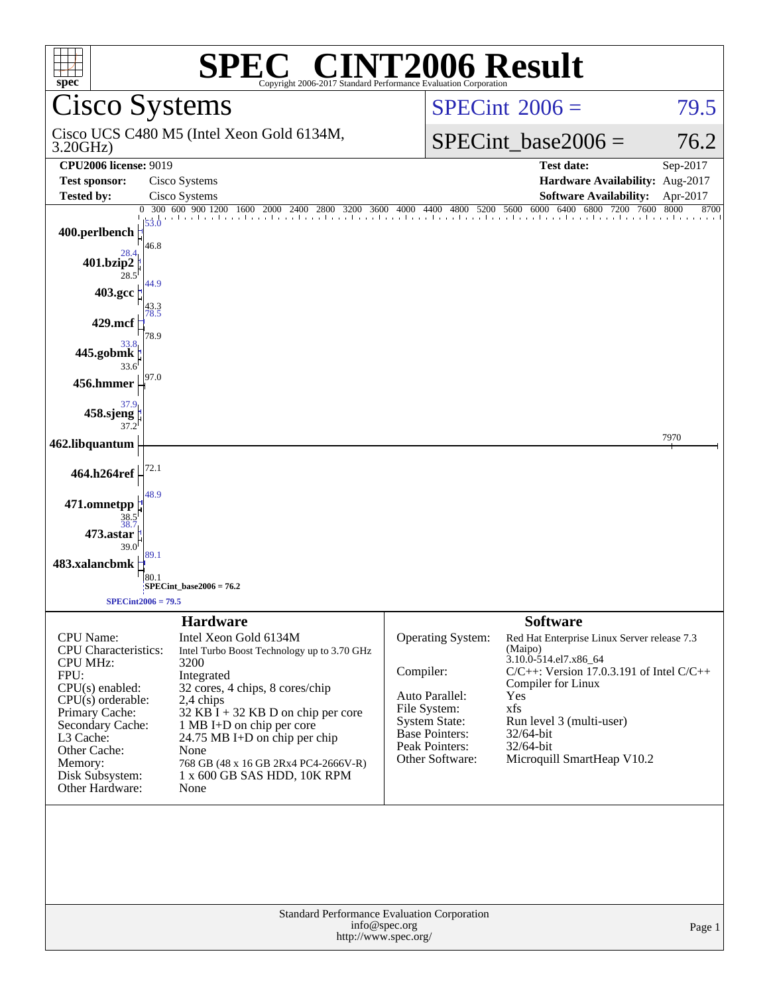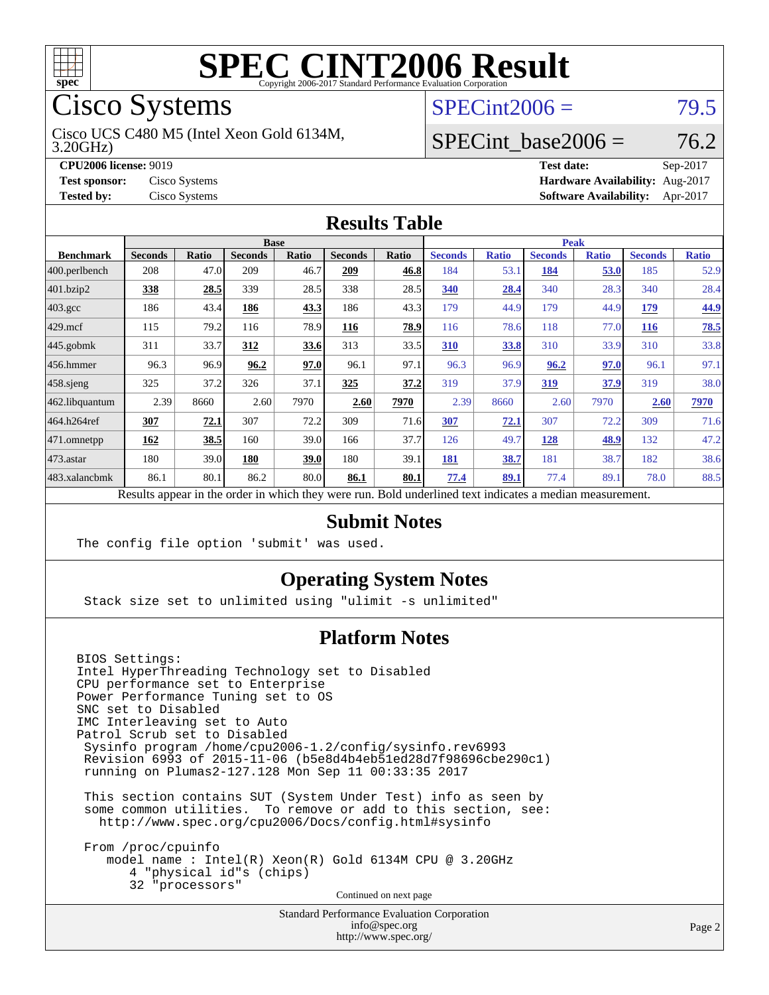

Cisco Systems

3.20GHz) Cisco UCS C480 M5 (Intel Xeon Gold 6134M,

 $SPECint2006 = 79.5$  $SPECint2006 = 79.5$ 

#### SPECint base2006 =  $76.2$

**[CPU2006 license:](http://www.spec.org/auto/cpu2006/Docs/result-fields.html#CPU2006license)** 9019 **[Test date:](http://www.spec.org/auto/cpu2006/Docs/result-fields.html#Testdate)** Sep-2017 **[Test sponsor:](http://www.spec.org/auto/cpu2006/Docs/result-fields.html#Testsponsor)** Cisco Systems **[Hardware Availability:](http://www.spec.org/auto/cpu2006/Docs/result-fields.html#HardwareAvailability)** Aug-2017 **[Tested by:](http://www.spec.org/auto/cpu2006/Docs/result-fields.html#Testedby)** Cisco Systems **[Software Availability:](http://www.spec.org/auto/cpu2006/Docs/result-fields.html#SoftwareAvailability)** Apr-2017

#### **[Results Table](http://www.spec.org/auto/cpu2006/Docs/result-fields.html#ResultsTable)**

|                                                                                                          | <b>Base</b>    |              |                |              |                | <b>Peak</b> |                |              |                |              |                |              |
|----------------------------------------------------------------------------------------------------------|----------------|--------------|----------------|--------------|----------------|-------------|----------------|--------------|----------------|--------------|----------------|--------------|
| <b>Benchmark</b>                                                                                         | <b>Seconds</b> | <b>Ratio</b> | <b>Seconds</b> | <b>Ratio</b> | <b>Seconds</b> | Ratio       | <b>Seconds</b> | <b>Ratio</b> | <b>Seconds</b> | <b>Ratio</b> | <b>Seconds</b> | <b>Ratio</b> |
| $ 400$ .perlbench                                                                                        | 208            | 47.0         | 209            | 46.7         | 209            | 46.8        | 184            | 53.1         | 184            | 53.0         | 185            | 52.9         |
| $401$ .bzip2                                                                                             | 338            | 28.5         | 339            | 28.5         | 338            | 28.5        | 340            | 28.4         | 340            | 28.3         | 340            | 28.4         |
| $403.\text{gcc}$                                                                                         | 186            | 43.4         | 186            | 43.3         | 186            | 43.3        | 179            | 44.9         | 179            | 44.9         | 179            | 44.9         |
| $429$ mcf                                                                                                | 115            | 79.2         | 116            | 78.9         | 116            | 78.9        | 116            | 78.6         | 118            | 77.0         | <b>116</b>     | 78.5         |
| $445$ .gobmk                                                                                             | 311            | 33.7         | 312            | 33.6         | 313            | 33.5        | 310            | 33.8         | 310            | 33.9         | 310            | 33.8         |
| $456.$ hmmer                                                                                             | 96.3           | 96.9         | 96.2           | 97.0         | 96.1           | 97.1        | 96.3           | 96.9         | 96.2           | 97.0         | 96.1           | 97.1         |
| $458$ .sjeng                                                                                             | 325            | 37.2         | 326            | 37.1         | 325            | 37.2        | 319            | 37.9         | <u>319</u>     | 37.9         | 319            | 38.0         |
| 462.libquantum                                                                                           | 2.39           | 8660         | 2.60           | 7970         | 2.60           | 7970        | 2.39           | 8660         | 2.60           | 7970         | 2.60           | 7970         |
| 464.h264ref                                                                                              | 307            | 72.1         | 307            | 72.2         | 309            | 71.6        | 307            | 72.1         | 307            | 72.2         | 309            | 71.6         |
| 471.omnetpp                                                                                              | 162            | 38.5         | 160            | 39.0         | 166            | 37.7        | 126            | 49.7         | 128            | 48.9         | 132            | 47.2         |
| $473$ . astar                                                                                            | 180            | 39.0         | 180            | 39.0         | 180            | 39.1        | 181            | 38.7         | 181            | 38.7         | 182            | 38.6         |
| 483.xalancbmk                                                                                            | 86.1           | 80.1         | 86.2           | 80.0         | 86.1           | 80.1        | 77.4           | 89.1         | 77.4           | 89.1         | 78.0           | 88.5         |
| Results appear in the order in which they were run. Bold underlined text indicates a median measurement. |                |              |                |              |                |             |                |              |                |              |                |              |

#### **[Submit Notes](http://www.spec.org/auto/cpu2006/Docs/result-fields.html#SubmitNotes)**

The config file option 'submit' was used.

#### **[Operating System Notes](http://www.spec.org/auto/cpu2006/Docs/result-fields.html#OperatingSystemNotes)**

Stack size set to unlimited using "ulimit -s unlimited"

#### **[Platform Notes](http://www.spec.org/auto/cpu2006/Docs/result-fields.html#PlatformNotes)**

BIOS Settings: Intel HyperThreading Technology set to Disabled CPU performance set to Enterprise Power Performance Tuning set to OS SNC set to Disabled IMC Interleaving set to Auto Patrol Scrub set to Disabled Sysinfo program /home/cpu2006-1.2/config/sysinfo.rev6993 Revision 6993 of 2015-11-06 (b5e8d4b4eb51ed28d7f98696cbe290c1) running on Plumas2-127.128 Mon Sep 11 00:33:35 2017 This section contains SUT (System Under Test) info as seen by

 some common utilities. To remove or add to this section, see: <http://www.spec.org/cpu2006/Docs/config.html#sysinfo>

 From /proc/cpuinfo model name : Intel(R) Xeon(R) Gold 6134M CPU @ 3.20GHz 4 "physical id"s (chips) 32 "processors" Continued on next page

> Standard Performance Evaluation Corporation [info@spec.org](mailto:info@spec.org) <http://www.spec.org/>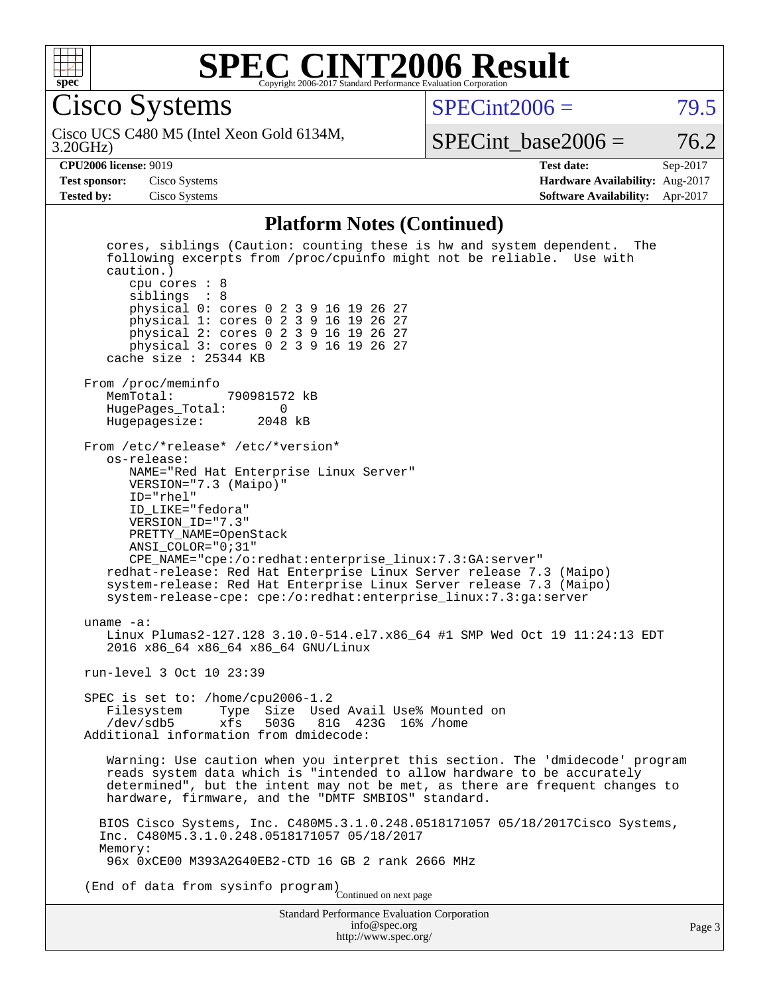

Cisco Systems

 $SPECint2006 = 79.5$  $SPECint2006 = 79.5$ 

3.20GHz) Cisco UCS C480 M5 (Intel Xeon Gold 6134M,

SPECint base2006 =  $76.2$ 

**[CPU2006 license:](http://www.spec.org/auto/cpu2006/Docs/result-fields.html#CPU2006license)** 9019 **[Test date:](http://www.spec.org/auto/cpu2006/Docs/result-fields.html#Testdate)** Sep-2017 **[Test sponsor:](http://www.spec.org/auto/cpu2006/Docs/result-fields.html#Testsponsor)** Cisco Systems **[Hardware Availability:](http://www.spec.org/auto/cpu2006/Docs/result-fields.html#HardwareAvailability)** Aug-2017 **[Tested by:](http://www.spec.org/auto/cpu2006/Docs/result-fields.html#Testedby)** Cisco Systems **[Software Availability:](http://www.spec.org/auto/cpu2006/Docs/result-fields.html#SoftwareAvailability)** Apr-2017

#### **[Platform Notes \(Continued\)](http://www.spec.org/auto/cpu2006/Docs/result-fields.html#PlatformNotes)**

Standard Performance Evaluation Corporation [info@spec.org](mailto:info@spec.org) Page 3 cores, siblings (Caution: counting these is hw and system dependent. The following excerpts from /proc/cpuinfo might not be reliable. Use with caution.) cpu cores : 8 siblings : 8 physical 0: cores 0 2 3 9 16 19 26 27 physical 1: cores 0 2 3 9 16 19 26 27 physical 2: cores 0 2 3 9 16 19 26 27 physical 3: cores 0 2 3 9 16 19 26 27 cache size : 25344 KB From /proc/meminfo MemTotal: 790981572 kB<br>HugePages Total: 0 HugePages\_Total: 0<br>Hugepagesize: 2048 kB Hugepagesize: From /etc/\*release\* /etc/\*version\* os-release: NAME="Red Hat Enterprise Linux Server" VERSION="7.3 (Maipo)" ID="rhel" ID\_LIKE="fedora" VERSION\_ID="7.3" PRETTY\_NAME=OpenStack ANSI\_COLOR="0;31" CPE\_NAME="cpe:/o:redhat:enterprise\_linux:7.3:GA:server" redhat-release: Red Hat Enterprise Linux Server release 7.3 (Maipo) system-release: Red Hat Enterprise Linux Server release 7.3 (Maipo) system-release-cpe: cpe:/o:redhat:enterprise\_linux:7.3:ga:server uname -a: Linux Plumas2-127.128 3.10.0-514.el7.x86\_64 #1 SMP Wed Oct 19 11:24:13 EDT 2016 x86\_64 x86\_64 x86\_64 GNU/Linux run-level 3 Oct 10 23:39 SPEC is set to: /home/cpu2006-1.2<br>Filesystem Type Size Use Filesystem Type Size Used Avail Use% Mounted on<br>/dev/sdb5 xfs 503G 81G 423G 16% /home 81G 423G 16% /home Additional information from dmidecode: Warning: Use caution when you interpret this section. The 'dmidecode' program reads system data which is "intended to allow hardware to be accurately determined", but the intent may not be met, as there are frequent changes to hardware, firmware, and the "DMTF SMBIOS" standard. BIOS Cisco Systems, Inc. C480M5.3.1.0.248.0518171057 05/18/2017Cisco Systems, Inc. C480M5.3.1.0.248.0518171057 05/18/2017 Memory: 96x 0xCE00 M393A2G40EB2-CTD 16 GB 2 rank 2666 MHz (End of data from sysinfo program) Continued on next page

<http://www.spec.org/>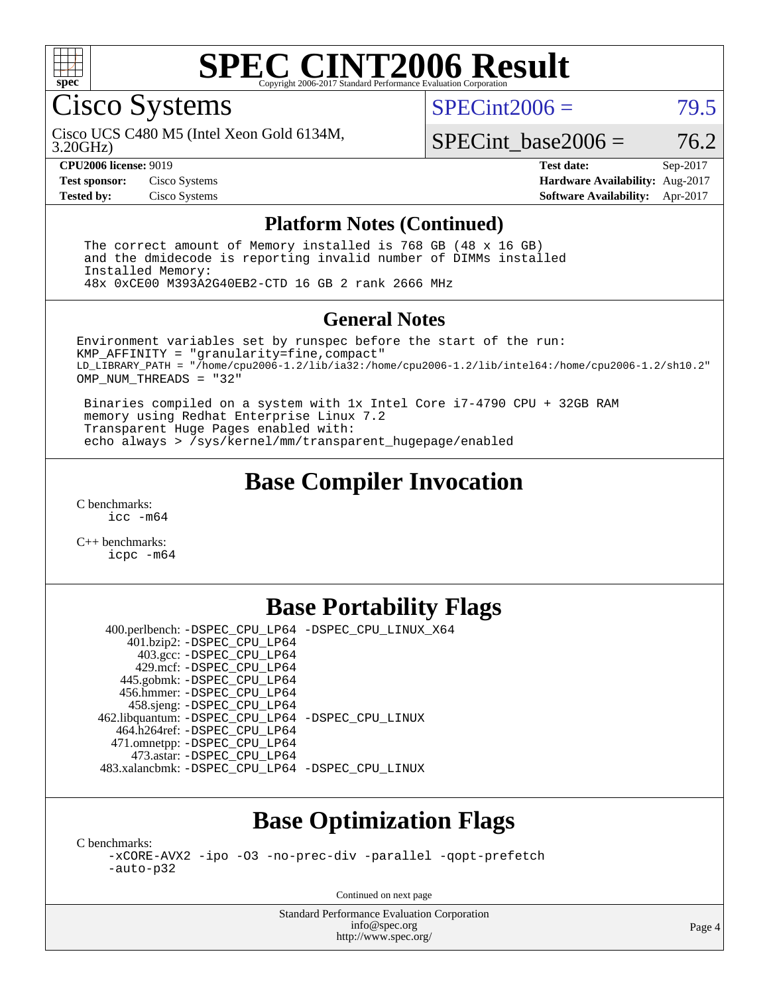

#### **[SPEC CINT2006 Result](http://www.spec.org/auto/cpu2006/Docs/result-fields.html#SPECCINT2006Result)** Copyright 2006-2017 Standard Performance Evaluation C

Cisco Systems

 $SPECint2006 = 79.5$  $SPECint2006 = 79.5$ 

3.20GHz) Cisco UCS C480 M5 (Intel Xeon Gold 6134M,

 $SPECTnt\_base2006 = 76.2$ 

**[CPU2006 license:](http://www.spec.org/auto/cpu2006/Docs/result-fields.html#CPU2006license)** 9019 **[Test date:](http://www.spec.org/auto/cpu2006/Docs/result-fields.html#Testdate)** Sep-2017 **[Test sponsor:](http://www.spec.org/auto/cpu2006/Docs/result-fields.html#Testsponsor)** Cisco Systems **[Hardware Availability:](http://www.spec.org/auto/cpu2006/Docs/result-fields.html#HardwareAvailability)** Aug-2017 **[Tested by:](http://www.spec.org/auto/cpu2006/Docs/result-fields.html#Testedby)** Cisco Systems **[Software Availability:](http://www.spec.org/auto/cpu2006/Docs/result-fields.html#SoftwareAvailability)** Apr-2017

#### **[Platform Notes \(Continued\)](http://www.spec.org/auto/cpu2006/Docs/result-fields.html#PlatformNotes)**

 The correct amount of Memory installed is 768 GB (48 x 16 GB) and the dmidecode is reporting invalid number of DIMMs installed Installed Memory: 48x 0xCE00 M393A2G40EB2-CTD 16 GB 2 rank 2666 MHz

#### **[General Notes](http://www.spec.org/auto/cpu2006/Docs/result-fields.html#GeneralNotes)**

Environment variables set by runspec before the start of the run: KMP\_AFFINITY = "granularity=fine,compact" LD\_LIBRARY\_PATH = "/home/cpu2006-1.2/lib/ia32:/home/cpu2006-1.2/lib/intel64:/home/cpu2006-1.2/sh10.2" OMP NUM THREADS = "32"

 Binaries compiled on a system with 1x Intel Core i7-4790 CPU + 32GB RAM memory using Redhat Enterprise Linux 7.2 Transparent Huge Pages enabled with: echo always > /sys/kernel/mm/transparent\_hugepage/enabled

### **[Base Compiler Invocation](http://www.spec.org/auto/cpu2006/Docs/result-fields.html#BaseCompilerInvocation)**

[C benchmarks](http://www.spec.org/auto/cpu2006/Docs/result-fields.html#Cbenchmarks): [icc -m64](http://www.spec.org/cpu2006/results/res2017q4/cpu2006-20170919-50158.flags.html#user_CCbase_intel_icc_64bit_bda6cc9af1fdbb0edc3795bac97ada53)

[C++ benchmarks:](http://www.spec.org/auto/cpu2006/Docs/result-fields.html#CXXbenchmarks) [icpc -m64](http://www.spec.org/cpu2006/results/res2017q4/cpu2006-20170919-50158.flags.html#user_CXXbase_intel_icpc_64bit_fc66a5337ce925472a5c54ad6a0de310)

# **[Base Portability Flags](http://www.spec.org/auto/cpu2006/Docs/result-fields.html#BasePortabilityFlags)**

 400.perlbench: [-DSPEC\\_CPU\\_LP64](http://www.spec.org/cpu2006/results/res2017q4/cpu2006-20170919-50158.flags.html#b400.perlbench_basePORTABILITY_DSPEC_CPU_LP64) [-DSPEC\\_CPU\\_LINUX\\_X64](http://www.spec.org/cpu2006/results/res2017q4/cpu2006-20170919-50158.flags.html#b400.perlbench_baseCPORTABILITY_DSPEC_CPU_LINUX_X64) 401.bzip2: [-DSPEC\\_CPU\\_LP64](http://www.spec.org/cpu2006/results/res2017q4/cpu2006-20170919-50158.flags.html#suite_basePORTABILITY401_bzip2_DSPEC_CPU_LP64) 403.gcc: [-DSPEC\\_CPU\\_LP64](http://www.spec.org/cpu2006/results/res2017q4/cpu2006-20170919-50158.flags.html#suite_basePORTABILITY403_gcc_DSPEC_CPU_LP64) 429.mcf: [-DSPEC\\_CPU\\_LP64](http://www.spec.org/cpu2006/results/res2017q4/cpu2006-20170919-50158.flags.html#suite_basePORTABILITY429_mcf_DSPEC_CPU_LP64) 445.gobmk: [-DSPEC\\_CPU\\_LP64](http://www.spec.org/cpu2006/results/res2017q4/cpu2006-20170919-50158.flags.html#suite_basePORTABILITY445_gobmk_DSPEC_CPU_LP64) 456.hmmer: [-DSPEC\\_CPU\\_LP64](http://www.spec.org/cpu2006/results/res2017q4/cpu2006-20170919-50158.flags.html#suite_basePORTABILITY456_hmmer_DSPEC_CPU_LP64) 458.sjeng: [-DSPEC\\_CPU\\_LP64](http://www.spec.org/cpu2006/results/res2017q4/cpu2006-20170919-50158.flags.html#suite_basePORTABILITY458_sjeng_DSPEC_CPU_LP64) 462.libquantum: [-DSPEC\\_CPU\\_LP64](http://www.spec.org/cpu2006/results/res2017q4/cpu2006-20170919-50158.flags.html#suite_basePORTABILITY462_libquantum_DSPEC_CPU_LP64) [-DSPEC\\_CPU\\_LINUX](http://www.spec.org/cpu2006/results/res2017q4/cpu2006-20170919-50158.flags.html#b462.libquantum_baseCPORTABILITY_DSPEC_CPU_LINUX) 464.h264ref: [-DSPEC\\_CPU\\_LP64](http://www.spec.org/cpu2006/results/res2017q4/cpu2006-20170919-50158.flags.html#suite_basePORTABILITY464_h264ref_DSPEC_CPU_LP64) 471.omnetpp: [-DSPEC\\_CPU\\_LP64](http://www.spec.org/cpu2006/results/res2017q4/cpu2006-20170919-50158.flags.html#suite_basePORTABILITY471_omnetpp_DSPEC_CPU_LP64) 473.astar: [-DSPEC\\_CPU\\_LP64](http://www.spec.org/cpu2006/results/res2017q4/cpu2006-20170919-50158.flags.html#suite_basePORTABILITY473_astar_DSPEC_CPU_LP64) 483.xalancbmk: [-DSPEC\\_CPU\\_LP64](http://www.spec.org/cpu2006/results/res2017q4/cpu2006-20170919-50158.flags.html#suite_basePORTABILITY483_xalancbmk_DSPEC_CPU_LP64) [-DSPEC\\_CPU\\_LINUX](http://www.spec.org/cpu2006/results/res2017q4/cpu2006-20170919-50158.flags.html#b483.xalancbmk_baseCXXPORTABILITY_DSPEC_CPU_LINUX)

# **[Base Optimization Flags](http://www.spec.org/auto/cpu2006/Docs/result-fields.html#BaseOptimizationFlags)**

[C benchmarks](http://www.spec.org/auto/cpu2006/Docs/result-fields.html#Cbenchmarks):

[-xCORE-AVX2](http://www.spec.org/cpu2006/results/res2017q4/cpu2006-20170919-50158.flags.html#user_CCbase_f-xCORE-AVX2) [-ipo](http://www.spec.org/cpu2006/results/res2017q4/cpu2006-20170919-50158.flags.html#user_CCbase_f-ipo) [-O3](http://www.spec.org/cpu2006/results/res2017q4/cpu2006-20170919-50158.flags.html#user_CCbase_f-O3) [-no-prec-div](http://www.spec.org/cpu2006/results/res2017q4/cpu2006-20170919-50158.flags.html#user_CCbase_f-no-prec-div) [-parallel](http://www.spec.org/cpu2006/results/res2017q4/cpu2006-20170919-50158.flags.html#user_CCbase_f-parallel) [-qopt-prefetch](http://www.spec.org/cpu2006/results/res2017q4/cpu2006-20170919-50158.flags.html#user_CCbase_f-qopt-prefetch) [-auto-p32](http://www.spec.org/cpu2006/results/res2017q4/cpu2006-20170919-50158.flags.html#user_CCbase_f-auto-p32)

Continued on next page

Standard Performance Evaluation Corporation [info@spec.org](mailto:info@spec.org) <http://www.spec.org/>

Page 4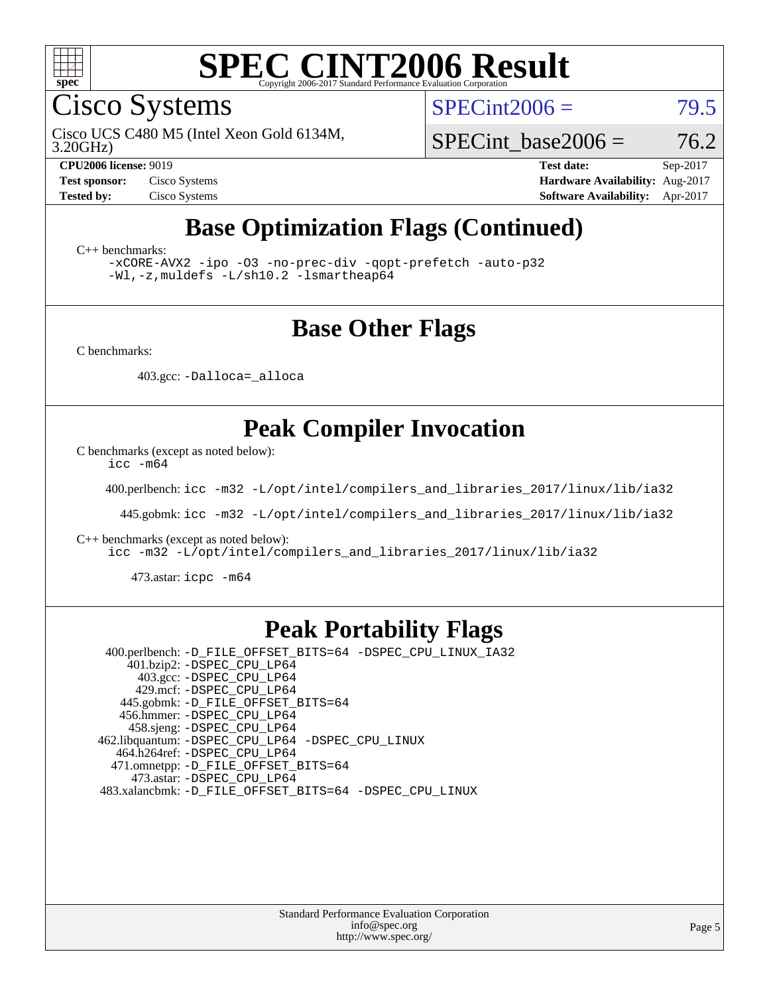

Cisco Systems

 $SPECint2006 = 79.5$  $SPECint2006 = 79.5$ 

3.20GHz) Cisco UCS C480 M5 (Intel Xeon Gold 6134M,

SPECint base2006 =  $76.2$ 

**[CPU2006 license:](http://www.spec.org/auto/cpu2006/Docs/result-fields.html#CPU2006license)** 9019 **[Test date:](http://www.spec.org/auto/cpu2006/Docs/result-fields.html#Testdate)** Sep-2017 **[Test sponsor:](http://www.spec.org/auto/cpu2006/Docs/result-fields.html#Testsponsor)** Cisco Systems **[Hardware Availability:](http://www.spec.org/auto/cpu2006/Docs/result-fields.html#HardwareAvailability)** Aug-2017 **[Tested by:](http://www.spec.org/auto/cpu2006/Docs/result-fields.html#Testedby)** Cisco Systems **[Software Availability:](http://www.spec.org/auto/cpu2006/Docs/result-fields.html#SoftwareAvailability)** Apr-2017

# **[Base Optimization Flags \(Continued\)](http://www.spec.org/auto/cpu2006/Docs/result-fields.html#BaseOptimizationFlags)**

[C++ benchmarks:](http://www.spec.org/auto/cpu2006/Docs/result-fields.html#CXXbenchmarks)

[-xCORE-AVX2](http://www.spec.org/cpu2006/results/res2017q4/cpu2006-20170919-50158.flags.html#user_CXXbase_f-xCORE-AVX2) [-ipo](http://www.spec.org/cpu2006/results/res2017q4/cpu2006-20170919-50158.flags.html#user_CXXbase_f-ipo) [-O3](http://www.spec.org/cpu2006/results/res2017q4/cpu2006-20170919-50158.flags.html#user_CXXbase_f-O3) [-no-prec-div](http://www.spec.org/cpu2006/results/res2017q4/cpu2006-20170919-50158.flags.html#user_CXXbase_f-no-prec-div) [-qopt-prefetch](http://www.spec.org/cpu2006/results/res2017q4/cpu2006-20170919-50158.flags.html#user_CXXbase_f-qopt-prefetch) [-auto-p32](http://www.spec.org/cpu2006/results/res2017q4/cpu2006-20170919-50158.flags.html#user_CXXbase_f-auto-p32) [-Wl,-z,muldefs](http://www.spec.org/cpu2006/results/res2017q4/cpu2006-20170919-50158.flags.html#user_CXXbase_link_force_multiple1_74079c344b956b9658436fd1b6dd3a8a) [-L/sh10.2 -lsmartheap64](http://www.spec.org/cpu2006/results/res2017q4/cpu2006-20170919-50158.flags.html#user_CXXbase_SmartHeap64_63911d860fc08c15fa1d5bf319b9d8d5)

### **[Base Other Flags](http://www.spec.org/auto/cpu2006/Docs/result-fields.html#BaseOtherFlags)**

[C benchmarks](http://www.spec.org/auto/cpu2006/Docs/result-fields.html#Cbenchmarks):

403.gcc: [-Dalloca=\\_alloca](http://www.spec.org/cpu2006/results/res2017q4/cpu2006-20170919-50158.flags.html#b403.gcc_baseEXTRA_CFLAGS_Dalloca_be3056838c12de2578596ca5467af7f3)

### **[Peak Compiler Invocation](http://www.spec.org/auto/cpu2006/Docs/result-fields.html#PeakCompilerInvocation)**

[C benchmarks \(except as noted below\)](http://www.spec.org/auto/cpu2006/Docs/result-fields.html#Cbenchmarksexceptasnotedbelow):

[icc -m64](http://www.spec.org/cpu2006/results/res2017q4/cpu2006-20170919-50158.flags.html#user_CCpeak_intel_icc_64bit_bda6cc9af1fdbb0edc3795bac97ada53)

400.perlbench: [icc -m32 -L/opt/intel/compilers\\_and\\_libraries\\_2017/linux/lib/ia32](http://www.spec.org/cpu2006/results/res2017q4/cpu2006-20170919-50158.flags.html#user_peakCCLD400_perlbench_intel_icc_c29f3ff5a7ed067b11e4ec10a03f03ae)

445.gobmk: [icc -m32 -L/opt/intel/compilers\\_and\\_libraries\\_2017/linux/lib/ia32](http://www.spec.org/cpu2006/results/res2017q4/cpu2006-20170919-50158.flags.html#user_peakCCLD445_gobmk_intel_icc_c29f3ff5a7ed067b11e4ec10a03f03ae)

[C++ benchmarks \(except as noted below\):](http://www.spec.org/auto/cpu2006/Docs/result-fields.html#CXXbenchmarksexceptasnotedbelow)

[icc -m32 -L/opt/intel/compilers\\_and\\_libraries\\_2017/linux/lib/ia32](http://www.spec.org/cpu2006/results/res2017q4/cpu2006-20170919-50158.flags.html#user_CXXpeak_intel_icc_c29f3ff5a7ed067b11e4ec10a03f03ae)

473.astar: [icpc -m64](http://www.spec.org/cpu2006/results/res2017q4/cpu2006-20170919-50158.flags.html#user_peakCXXLD473_astar_intel_icpc_64bit_fc66a5337ce925472a5c54ad6a0de310)

### **[Peak Portability Flags](http://www.spec.org/auto/cpu2006/Docs/result-fields.html#PeakPortabilityFlags)**

 400.perlbench: [-D\\_FILE\\_OFFSET\\_BITS=64](http://www.spec.org/cpu2006/results/res2017q4/cpu2006-20170919-50158.flags.html#user_peakPORTABILITY400_perlbench_file_offset_bits_64_438cf9856305ebd76870a2c6dc2689ab) [-DSPEC\\_CPU\\_LINUX\\_IA32](http://www.spec.org/cpu2006/results/res2017q4/cpu2006-20170919-50158.flags.html#b400.perlbench_peakCPORTABILITY_DSPEC_CPU_LINUX_IA32) 401.bzip2: [-DSPEC\\_CPU\\_LP64](http://www.spec.org/cpu2006/results/res2017q4/cpu2006-20170919-50158.flags.html#suite_peakPORTABILITY401_bzip2_DSPEC_CPU_LP64) 403.gcc: [-DSPEC\\_CPU\\_LP64](http://www.spec.org/cpu2006/results/res2017q4/cpu2006-20170919-50158.flags.html#suite_peakPORTABILITY403_gcc_DSPEC_CPU_LP64) 429.mcf: [-DSPEC\\_CPU\\_LP64](http://www.spec.org/cpu2006/results/res2017q4/cpu2006-20170919-50158.flags.html#suite_peakPORTABILITY429_mcf_DSPEC_CPU_LP64) 445.gobmk: [-D\\_FILE\\_OFFSET\\_BITS=64](http://www.spec.org/cpu2006/results/res2017q4/cpu2006-20170919-50158.flags.html#user_peakPORTABILITY445_gobmk_file_offset_bits_64_438cf9856305ebd76870a2c6dc2689ab) 456.hmmer: [-DSPEC\\_CPU\\_LP64](http://www.spec.org/cpu2006/results/res2017q4/cpu2006-20170919-50158.flags.html#suite_peakPORTABILITY456_hmmer_DSPEC_CPU_LP64) 458.sjeng: [-DSPEC\\_CPU\\_LP64](http://www.spec.org/cpu2006/results/res2017q4/cpu2006-20170919-50158.flags.html#suite_peakPORTABILITY458_sjeng_DSPEC_CPU_LP64) 462.libquantum: [-DSPEC\\_CPU\\_LP64](http://www.spec.org/cpu2006/results/res2017q4/cpu2006-20170919-50158.flags.html#suite_peakPORTABILITY462_libquantum_DSPEC_CPU_LP64) [-DSPEC\\_CPU\\_LINUX](http://www.spec.org/cpu2006/results/res2017q4/cpu2006-20170919-50158.flags.html#b462.libquantum_peakCPORTABILITY_DSPEC_CPU_LINUX) 464.h264ref: [-DSPEC\\_CPU\\_LP64](http://www.spec.org/cpu2006/results/res2017q4/cpu2006-20170919-50158.flags.html#suite_peakPORTABILITY464_h264ref_DSPEC_CPU_LP64) 471.omnetpp: [-D\\_FILE\\_OFFSET\\_BITS=64](http://www.spec.org/cpu2006/results/res2017q4/cpu2006-20170919-50158.flags.html#user_peakPORTABILITY471_omnetpp_file_offset_bits_64_438cf9856305ebd76870a2c6dc2689ab) 473.astar: [-DSPEC\\_CPU\\_LP64](http://www.spec.org/cpu2006/results/res2017q4/cpu2006-20170919-50158.flags.html#suite_peakPORTABILITY473_astar_DSPEC_CPU_LP64) 483.xalancbmk: [-D\\_FILE\\_OFFSET\\_BITS=64](http://www.spec.org/cpu2006/results/res2017q4/cpu2006-20170919-50158.flags.html#user_peakPORTABILITY483_xalancbmk_file_offset_bits_64_438cf9856305ebd76870a2c6dc2689ab) [-DSPEC\\_CPU\\_LINUX](http://www.spec.org/cpu2006/results/res2017q4/cpu2006-20170919-50158.flags.html#b483.xalancbmk_peakCXXPORTABILITY_DSPEC_CPU_LINUX)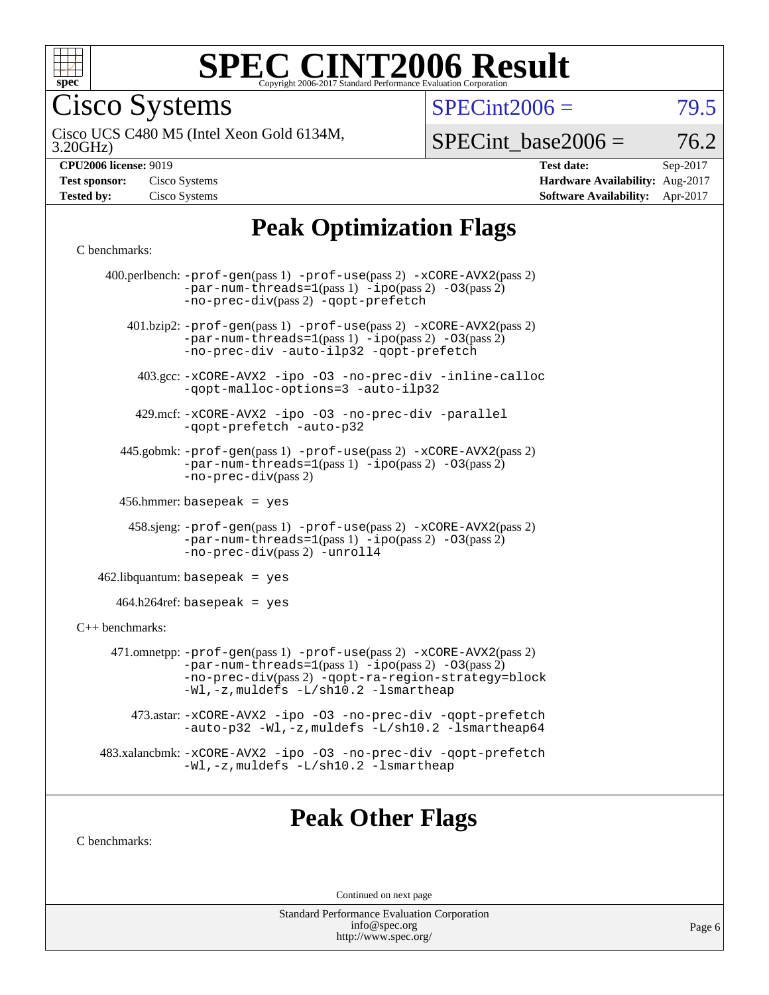

Cisco Systems

 $SPECint2006 = 79.5$  $SPECint2006 = 79.5$ 

3.20GHz) Cisco UCS C480 M5 (Intel Xeon Gold 6134M,

 $SPECTnt\_base2006 = 76.2$ 

| <b>CPU2006 license: 9019</b> |  |
|------------------------------|--|

| <b>Test sponsor:</b> | Cisco Systems |
|----------------------|---------------|
| <b>Tested by:</b>    | Cisco Systems |

**[CPU2006 license:](http://www.spec.org/auto/cpu2006/Docs/result-fields.html#CPU2006license)** 9019 **[Test date:](http://www.spec.org/auto/cpu2006/Docs/result-fields.html#Testdate)** Sep-2017 **[Hardware Availability:](http://www.spec.org/auto/cpu2006/Docs/result-fields.html#HardwareAvailability)** Aug-2017 **[Software Availability:](http://www.spec.org/auto/cpu2006/Docs/result-fields.html#SoftwareAvailability)** Apr-2017

# **[Peak Optimization Flags](http://www.spec.org/auto/cpu2006/Docs/result-fields.html#PeakOptimizationFlags)**

#### [C benchmarks](http://www.spec.org/auto/cpu2006/Docs/result-fields.html#Cbenchmarks):

|                      | 400.perlbench: $-prof-gen(pass 1)$ $-prof-use(pass 2)$ $-xCORE-AVX2(pass 2)$<br>$-par-num-threads=1(pass 1) -ipo(pass 2) -03(pass 2)$<br>-no-prec-div(pass 2) -qopt-prefetch                                                  |
|----------------------|-------------------------------------------------------------------------------------------------------------------------------------------------------------------------------------------------------------------------------|
|                      | 401.bzip2: -prof-gen(pass 1) -prof-use(pass 2) -xCORE-AVX2(pass 2)<br>$-par-num-threads=1(pass 1) -ipo(pass 2) -03(pass 2)$<br>-no-prec-div -auto-ilp32 -qopt-prefetch                                                        |
|                      | 403.gcc: -xCORE-AVX2 -ipo -03 -no-prec-div -inline-calloc<br>-qopt-malloc-options=3 -auto-ilp32                                                                                                                               |
|                      | 429.mcf: -xCORE-AVX2 -ipo -03 -no-prec-div -parallel<br>-gopt-prefetch -auto-p32                                                                                                                                              |
|                      | 445.gobmk: -prof-gen(pass 1) -prof-use(pass 2) -xCORE-AVX2(pass 2)<br>$-par-num-threads=1(pass 1) -ipo(pass 2) -03(pass 2)$<br>$-no-prec-div(pass 2)$                                                                         |
|                      | 456.hmmer: basepeak = $yes$                                                                                                                                                                                                   |
|                      | 458.sjeng: -prof-gen(pass 1) -prof-use(pass 2) -xCORE-AVX2(pass 2)<br>$-par-num-threads=1(pass 1) -ipo(pass 2) -03(pass 2)$<br>-no-prec-div(pass 2) -unroll4                                                                  |
|                      | $462$ .libquantum: basepeak = yes                                                                                                                                                                                             |
|                      | $464.h264$ ref: basepeak = yes                                                                                                                                                                                                |
| $C_{++}$ benchmarks: |                                                                                                                                                                                                                               |
|                      | 471.omnetpp: -prof-gen(pass 1) -prof-use(pass 2) -xCORE-AVX2(pass 2)<br>$-par-num-threads=1(pass 1) -ipo(pass 2) -03(pass 2)$<br>-no-prec-div(pass 2) -qopt-ra-region-strategy=block<br>-Wl,-z, muldefs -L/sh10.2 -lsmartheap |
|                      | 473.astar: -xCORE-AVX2 -ipo -03 -no-prec-div -qopt-prefetch<br>-auto-p32 -Wl,-z, muldefs -L/sh10.2 -lsmartheap64                                                                                                              |
|                      | 483.xalancbmk: -xCORE-AVX2 -ipo -03 -no-prec-div -qopt-prefetch<br>-Wl,-z, muldefs -L/sh10.2 -lsmartheap                                                                                                                      |
|                      |                                                                                                                                                                                                                               |

### **[Peak Other Flags](http://www.spec.org/auto/cpu2006/Docs/result-fields.html#PeakOtherFlags)**

[C benchmarks](http://www.spec.org/auto/cpu2006/Docs/result-fields.html#Cbenchmarks):

Continued on next page

Standard Performance Evaluation Corporation [info@spec.org](mailto:info@spec.org) <http://www.spec.org/>